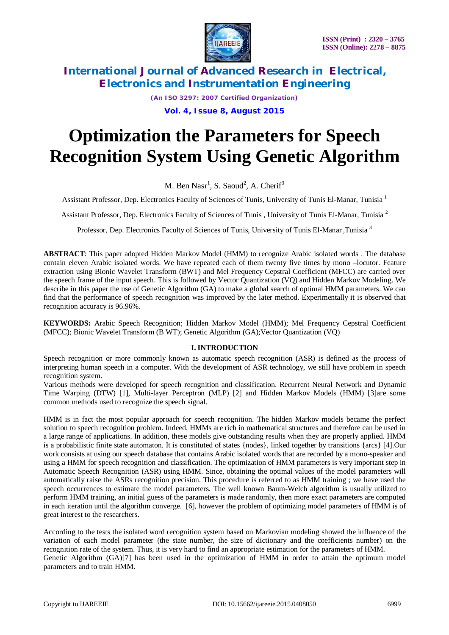

*(An ISO 3297: 2007 Certified Organization)*

### **Vol. 4, Issue 8, August 2015**

# **Optimization the Parameters for Speech Recognition System Using Genetic Algorithm**

M. Ben  $Nasr^1$ , S. Saoud<sup>2</sup>, A. Cherif<sup>3</sup>

Assistant Professor, Dep. Electronics Faculty of Sciences of Tunis, University of Tunis El-Manar, Tunisia <sup>1</sup>

Assistant Professor, Dep. Electronics Faculty of Sciences of Tunis , University of Tunis El-Manar, Tunisia<sup>2</sup>

Professor, Dep. Electronics Faculty of Sciences of Tunis, University of Tunis El-Manar ,Tunisia <sup>3</sup>

**ABSTRACT**: This paper adopted Hidden Markov Model (HMM) to recognize Arabic isolated words . The database contain eleven Arabic isolated words. We have repeated each of them twenty five times by mono –locutor. Feature extraction using Bionic Wavelet Transform (BWT) and Mel Frequency Cepstral Coefficient (MFCC) are carried over the speech frame of the input speech. This is followed by Vector Quantization (VQ) and Hidden Markov Modeling. We describe in this paper the use of Genetic Algorithm (GA) to make a global search of optimal HMM parameters. We can find that the performance of speech recognition was improved by the later method. Experimentally it is observed that recognition accuracy is 96.96%.

**KEYWORDS:** Arabic Speech Recognition; Hidden Markov Model (HMM); Mel Frequency Cepstral Coefficient (MFCC); Bionic Wavelet Transform (B WT); Genetic Algorithm (GA);Vector Quantization (VQ)

### **I. INTRODUCTION**

Speech recognition or more commonly known as automatic speech recognition (ASR) is defined as the process of interpreting human speech in a computer. With the development of ASR technology, we still have problem in speech recognition system.

Various methods were developed for speech recognition and classification. Recurrent Neural Network and Dynamic Time Warping (DTW) [1], Multi-layer Perceptron (MLP) [2] and Hidden Markov Models (HMM) [3]are some common methods used to recognize the speech signal.

HMM is in fact the most popular approach for speech recognition. The hidden Markov models became the perfect solution to speech recognition problem. Indeed, HMMs are rich in mathematical structures and therefore can be used in a large range of applications. In addition, these models give outstanding results when they are properly applied. HMM is a probabilistic finite state automaton. It is constituted of states {nodes}, linked together by transitions {arcs} [4].Our work consists at using our speech database that contains Arabic isolated words that are recorded by a mono-speaker and using a HMM for speech recognition and classification. The optimization of HMM parameters is very important step in Automatic Speech Recognition (ASR) using HMM. Since, obtaining the optimal values of the model parameters will automatically raise the ASRs recognition precision. This procedure is referred to as HMM training ; we have used the speech occurrences to estimate the model parameters. The well known Baum-Welch algorithm is usually utilized to perform HMM training, an initial guess of the parameters is made randomly, then more exact parameters are computed in each iteration until the algorithm converge. [6], however the problem of optimizing model parameters of HMM is of great interest to the researchers.

According to the tests the isolated word recognition system based on Markovian modeling showed the influence of the variation of each model parameter (the state number, the size of dictionary and the coefficients number) on the recognition rate of the system. Thus, it is very hard to find an appropriate estimation for the parameters of HMM. Genetic Algorithm (GA)[7] has been used in the optimization of HMM in order to attain the optimum model parameters and to train HMM.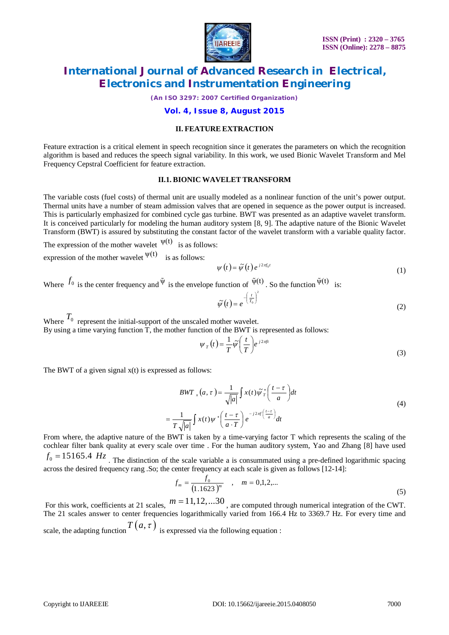

*(An ISO 3297: 2007 Certified Organization)*

### **Vol. 4, Issue 8, August 2015**

### **II. FEATURE EXTRACTION**

Feature extraction is a critical element in speech recognition since it generates the parameters on which the recognition algorithm is based and reduces the speech signal variability. In this work, we used Bionic Wavelet Transform and Mel Frequency Cepstral Coefficient for feature extraction.

### **II.1. BIONIC WAVELET TRANSFORM**

The variable costs (fuel costs) of thermal unit are usually modeled as a nonlinear function of the unit's power output. Thermal units have a number of steam admission valves that are opened in sequence as the power output is increased. This is particularly emphasized for combined cycle gas turbine. BWT was presented as an adaptive wavelet transform. It is conceived particularly for modeling the human auditory system [8, 9]. The adaptive nature of the Bionic Wavelet Transform (BWT) is assured by substituting the constant factor of the wavelet transform with a variable quality factor.

The expression of the mother wavelet  $\Psi(t)$  is as follows: expression of the mother wavelet  $\Psi(t)$  is as follows:

 $\psi(t) = \tilde{\psi}(t) e^{j2\pi f_0 t}$  (1)

Where  $f_0$  is the center frequency and  $\tilde{\Psi}$  is the envelope function of  $\tilde{\Psi}^{(t)}$ . So the function  $\tilde{\Psi}^{(t)}$  is:

$$
\tilde{\psi}(t) = e^{-\left(\frac{t}{T_0}\right)^2} \tag{2}
$$

Where  $T_0$  represent the initial-support of the unscaled mother wavelet. By using a time varying function T, the mother function of the BWT is represented as follows:

> $f_{T}(t) = \frac{1}{T} \widetilde{\psi} \left( \frac{t}{T} \right) e^{j 2 \pi f t}$ *t*  $\psi_T(t) = \frac{1}{T} \tilde{\psi} \left( \frac{t}{T} \right) e^{j2\pi t}$  $\left(\frac{t}{T}\right)$  $=\frac{1}{\pi}\tilde{\psi}$ (3)

The BWT of a given signal  $x(t)$  is expressed as follows:

$$
BWT_{x}(a, \tau) = \frac{1}{\sqrt{|a|}} \int x(t) \tilde{\psi}_{T}^{*} \left(\frac{t-\tau}{a}\right) dt
$$
  

$$
= \frac{1}{T \sqrt{|a|}} \int x(t) \psi^{*} \left(\frac{t-\tau}{a \cdot T}\right) e^{-j2\pi f \left(\frac{t-\tau}{a}\right)} dt
$$
 (4)

From where, the adaptive nature of the BWT is taken by a time-varying factor T which represents the scaling of the cochlear filter bank quality at every scale over time . For the human auditory system, Yao and Zhang [8] have used  $f_0 = 15165.4$   $Hz$ . The distinction of the scale variable a is consummated using a pre-defined logarithmic spacing across the desired frequency rang .So; the center frequency at each scale is given as follows [12-14]:

$$
f_m = \frac{f_0}{(1.1623)^m} \quad , \quad m = 0, 1, 2, \dots \tag{5}
$$

For this work, coefficients at 21 scales,  $m = 11, 12, \ldots 30$ , are computed through numerical integration of the CWT. The 21 scales answer to center frequencies logarithmically varied from 166.4 Hz to 3369.7 Hz. For every time and scale, the adapting function  $T(a, \tau)$  is expressed via the following equation :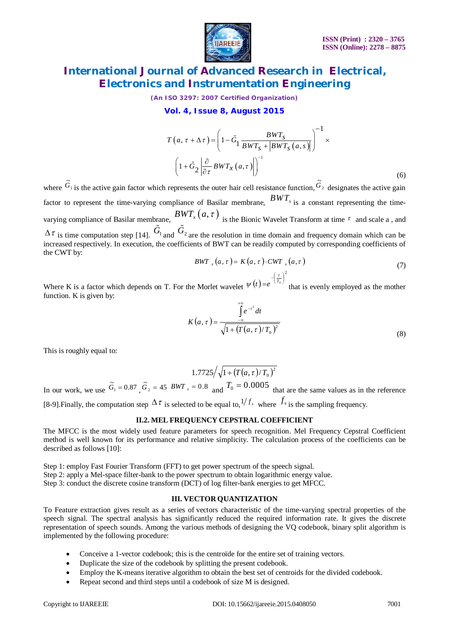

*(An ISO 3297: 2007 Certified Organization)*

### **Vol. 4, Issue 8, August 2015**

$$
T(a, \tau + \Delta \tau) = \left(1 - \tilde{G}_1 \frac{BWT_s}{BWT_s + |BWT_s(a, s)|}\right)^{-1} \times \left(1 + \tilde{G}_2 \left|\frac{\partial}{\partial \tau} BWT_x(a, \tau)\right|\right)^{-1}
$$
\n(6)

where  $\mathbf{G}_1$  $\tilde{G}_1$  is the active gain factor which represents the outer hair cell resistance function,  $\tilde{G}_2$  designates the active gain factor to represent the time-varying compliance of Basilar membrane, *BWT<sup>s</sup>* is a constant representing the timevarying compliance of Basilar membrane,  $BWT_x(a, \tau)$  is the Bionic Wavelet Transform at time  $\tau$  and scale a, and  $\Delta \tau$  is time computation step [14].  $\tilde{G}_1$  and  $\tilde{G}_2$ are the resolution in time domain and frequency domain which can be

increased respectively. In execution, the coefficients of BWT can be readily computed by corresponding coefficients of the CWT by:

$$
BWT_{x}(a, \tau) = K(a, \tau) \cdot CWT_{x}(a, \tau)
$$
\n
$$
(7)
$$
\n
$$
Var_{x}(a, \tau) = \left(\frac{t}{T_0}\right)^2
$$

Where K is a factor which depends on T. For the Morlet wavelet  $\psi(t) = e^{-\left(\frac{t}{T_0}\right)^2}$  $=e^{-\left(\frac{t}{T}\right)}$  $\psi(t) = e^{-(t_0)}$  that is evenly employed as the mother function. K is given by:

$$
K(a,\tau) = \frac{\int_{-\infty}^{+\infty} e^{-t^2} dt}{\sqrt{1 + (T(a,\tau)/T_0)^2}}
$$
(8)

This is roughly equal to:

$$
1.7725/\sqrt{1+(T(a,\tau)/T_0)^2}
$$

In our work, we use  $\tilde{G}_1 = 0.87$ ,  $\tilde{G}_2 = 45$  *BWT*  $_s = 0.8$  and  $T_0 = 0.0005$  that are the same values as in the reference

[8-9]. Finally, the computation step  $\Delta \tau$  is selected to be equal to,  $^{1/f_s}$  where  $^{f_s}$  is the sampling frequency.

# **II.2. MEL FREQUENCY CEPSTRAL COEFFICIENT**

The MFCC is the most widely used feature parameters for speech recognition. Mel Frequency Cepstral Coefficient method is well known for its performance and relative simplicity. The calculation process of the coefficients can be described as follows [10]:

Step 1: employ Fast Fourier Transform (FFT) to get power spectrum of the speech signal. Step 2: apply a Mel-space filter-bank to the power spectrum to obtain logarithmic energy value. Step 3: conduct the discrete cosine transform (DCT) of log filter-bank energies to get MFCC.

### **III. VECTOR QUANTIZATION**

To Feature extraction gives result as a series of vectors characteristic of the time-varying spectral properties of the speech signal. The spectral analysis has significantly reduced the required information rate. It gives the discrete representation of speech sounds. Among the various methods of designing the VQ codebook, binary split algorithm is implemented by the following procedure:

- Conceive a 1-vector codebook; this is the centroïde for the entire set of training vectors.
- Duplicate the size of the codebook by splitting the present codebook.
- Employ the K-means iterative algorithm to obtain the best set of centroids for the divided codebook.
- Repeat second and third steps until a codebook of size M is designed.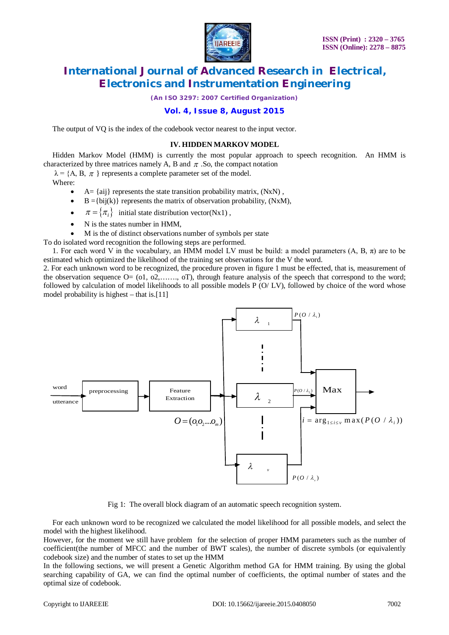

*(An ISO 3297: 2007 Certified Organization)*

### **Vol. 4, Issue 8, August 2015**

The output of VQ is the index of the codebook vector nearest to the input vector.

#### **IV. HIDDEN MARKOV MODEL**

Hidden Markov Model (HMM) is currently the most popular approach to speech recognition. An HMM is characterized by three matrices namely A, B and  $\pi$ . So, the compact notation

 $\lambda = \{A, B, \pi\}$  represents a complete parameter set of the model.

Where:

- $A = \{aij\}$  represents the state transition probability matrix,  $(NxN)$ ,
- $B = \{bij(k)\}\$  represents the matrix of observation probability,  $(NxM)$ ,
- $\pi = {\pi_i}$  initial state distribution vector(Nx1),
- N is the states number in HMM,
- M is the of distinct observations number of symbols per state

To do isolated word recognition the following steps are performed.

1. For each word V in the vocabulary, an HMM model LV must be build: a model parameters  $(A, B, \pi)$  are to be estimated which optimized the likelihood of the training set observations for the V the word.

2. For each unknown word to be recognized, the procedure proven in figure 1 must be effected, that is, measurement of the observation sequence  $O = (01, 02, \ldots, 0)$ , through feature analysis of the speech that correspond to the word; followed by calculation of model likelihoods to all possible models P (O/LV), followed by choice of the word whose model probability is highest – that is.[11]



Fig 1: The overall block diagram of an automatic speech recognition system.

For each unknown word to be recognized we calculated the model likelihood for all possible models, and select the model with the highest likelihood.

However, for the moment we still have problem for the selection of proper HMM parameters such as the number of coefficient(the number of MFCC and the number of BWT scales), the number of discrete symbols (or equivalently codebook size) and the number of states to set up the HMM

In the following sections, we will present a Genetic Algorithm method GA for HMM training. By using the global searching capability of GA, we can find the optimal number of coefficients, the optimal number of states and the optimal size of codebook.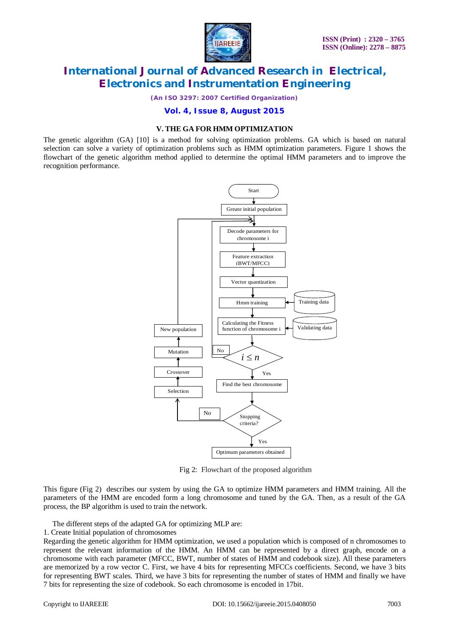

*(An ISO 3297: 2007 Certified Organization)*

#### **Vol. 4, Issue 8, August 2015**

#### **V. THE GA FOR HMM OPTIMIZATION**

The genetic algorithm (GA) [10] is a method for solving optimization problems. GA which is based on natural selection can solve a variety of optimization problems such as HMM optimization parameters. Figure 1 shows the flowchart of the genetic algorithm method applied to determine the optimal HMM parameters and to improve the recognition performance.



Fig 2: Flowchart of the proposed algorithm

This figure (Fig 2) describes our system by using the GA to optimize HMM parameters and HMM training. All the parameters of the HMM are encoded form a long chromosome and tuned by the GA. Then, as a result of the GA process, the BP algorithm is used to train the network.

The different steps of the adapted GA for optimizing MLP are:

1. Create Initial population of chromosomes

Regarding the genetic algorithm for HMM optimization, we used a population which is composed of n chromosomes to represent the relevant information of the HMM. An HMM can be represented by a direct graph, encode on a chromosome with each parameter (MFCC, BWT, number of states of HMM and codebook size). All these parameters are memorized by a row vector C. First, we have 4 bits for representing MFCCs coefficients. Second, we have 3 bits for representing BWT scales. Third, we have 3 bits for representing the number of states of HMM and finally we have 7 bits for representing the size of codebook. So each chromosome is encoded in 17bit.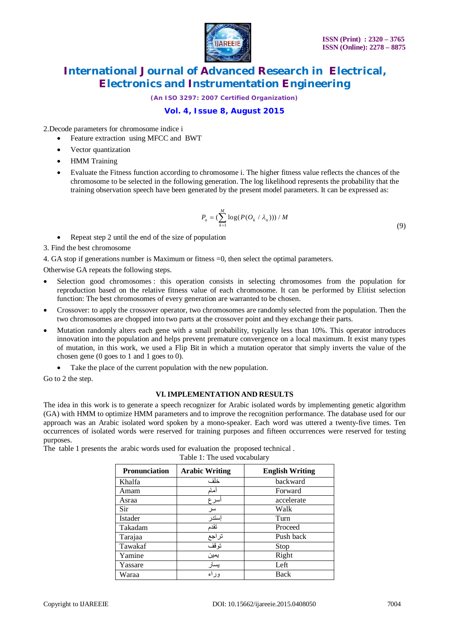

*(An ISO 3297: 2007 Certified Organization)*

## **Vol. 4, Issue 8, August 2015**

2.Decode parameters for chromosome indice i

- Feature extraction using MFCC and BWT
- Vector quantization
- HMM Training
- Evaluate the Fitness function according to chromosome i. The higher fitness value reflects the chances of the chromosome to be selected in the following generation. The log likelihood represents the probability that the training observation speech have been generated by the present model parameters. It can be expressed as:

$$
P_n = (\sum_{k=1}^M \log(P(O_k / \lambda_n))) / M
$$

(9)

Repeat step 2 until the end of the size of population

3. Find the best chromosome

4. GA stop if generations number is Maximum or fitness =0, then select the optimal parameters.

Otherwise GA repeats the following steps.

- Selection good chromosomes : this operation consists in selecting chromosomes from the population for reproduction based on the relative fitness value of each chromosome. It can be performed by Elitist selection function: The best chromosomes of every generation are warranted to be chosen.
- Crossover: to apply the crossover operator, two chromosomes are randomly selected from the population. Then the two chromosomes are chopped into two parts at the crossover point and they exchange their parts.
- Mutation randomly alters each gene with a small probability, typically less than 10%. This operator introduces innovation into the population and helps prevent premature convergence on a local maximum. It exist many types of mutation, in this work, we used a Flip Bit in which a mutation operator that simply inverts the value of the chosen gene (0 goes to 1 and 1 goes to 0).
	- Take the place of the current population with the new population.

Go to 2 the step.

### **VI. IMPLEMENTATION AND RESULTS**

The idea in this work is to generate a speech recognizer for Arabic isolated words by implementing genetic algorithm (GA) with HMM to optimize HMM parameters and to improve the recognition performance. The database used for our approach was an Arabic isolated word spoken by a mono-speaker. Each word was uttered a twenty-five times. Ten occurrences of isolated words were reserved for training purposes and fifteen occurrences were reserved for testing purposes.

The table 1 presents the arabic words used for evaluation the proposed technical . Table 1: The used vocabulary

| <b>Pronunciation</b> | <b>Arabic Writing</b> | <b>English Writing</b> |
|----------------------|-----------------------|------------------------|
| Khalfa               | خلف                   | backward               |
| Amam                 | ماد                   | Forward                |
| Asraa                | سرع                   | accelerate             |
| Sir                  | سر                    | Walk                   |
| <b>Istader</b>       | إستدر                 | Turn                   |
| Takadam              | تقدم                  | Proceed                |
| Tarajaa              | تراجع                 | Push back              |
| Tawakaf              | توقف                  | Stop                   |
| Yamine               | يمين                  | Right                  |
| Yassare              | يسار                  | Left                   |
| Waraa                | وراء                  | Back                   |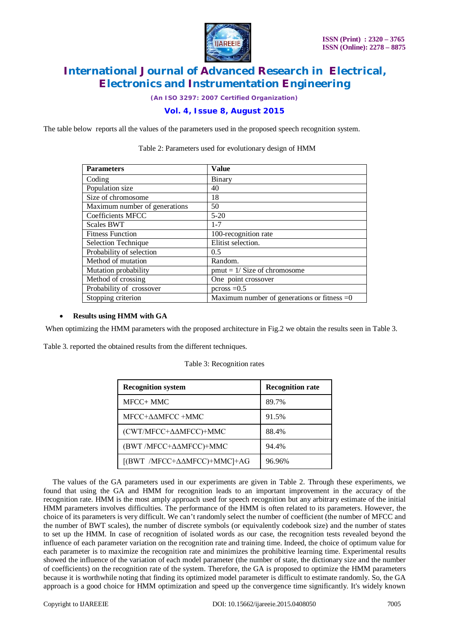

*(An ISO 3297: 2007 Certified Organization)*

### **Vol. 4, Issue 8, August 2015**

The table below reports all the values of the parameters used in the proposed speech recognition system.

| <b>Parameters</b>             | <b>Value</b>                                  |
|-------------------------------|-----------------------------------------------|
| Coding                        | Binary                                        |
| Population size               | 40                                            |
| Size of chromosome            | 18                                            |
| Maximum number of generations | 50                                            |
| Coefficients MFCC             | $5-20$                                        |
| <b>Scales BWT</b>             | $1 - 7$                                       |
| <b>Fitness Function</b>       | 100-recognition rate                          |
| Selection Technique           | Elitist selection.                            |
| Probability of selection      | 0.5                                           |
| Method of mutation            | Random.                                       |
| Mutation probability          | $pmut = 1/Size of chromosome$                 |
| Method of crossing            | One point crossover                           |
| Probability of crossover      | $pcross = 0.5$                                |
| Stopping criterion            | Maximum number of generations or fitness $=0$ |

### Table 2: Parameters used for evolutionary design of HMM

#### **Results using HMM with GA**

When optimizing the HMM parameters with the proposed architecture in Fig.2 we obtain the results seen in Table 3.

Table 3. reported the obtained results from the different techniques.

| <b>Recognition system</b>                | <b>Recognition rate</b> |
|------------------------------------------|-------------------------|
| MFCC+ MMC                                | 89.7%                   |
| MFCC+AAMFCC+MMC                          | 91.5%                   |
| (CWT/MFCC+ΔΔMFCC)+MMC                    | 88.4%                   |
| (BWT /MFCC+ΔΔMFCC)+MMC                   | 94.4%                   |
| $[(BWT/MFCC+\Delta\Delta MFCC)+MMC]+AG]$ | 96.96%                  |

|  | Table 3: Recognition rates |
|--|----------------------------|
|--|----------------------------|

 The values of the GA parameters used in our experiments are given in Table 2. Through these experiments, we found that using the GA and HMM for recognition leads to an important improvement in the accuracy of the recognition rate. HMM is the most amply approach used for speech recognition but any arbitrary estimate of the initial HMM parameters involves difficulties. The performance of the HMM is often related to its parameters. However, the choice of its parameters is very difficult. We can't randomly select the number of coefficient (the number of MFCC and the number of BWT scales), the number of discrete symbols (or equivalently codebook size) and the number of states to set up the HMM. In case of recognition of isolated words as our case, the recognition tests revealed beyond the influence of each parameter variation on the recognition rate and training time. Indeed, the choice of optimum value for each parameter is to maximize the recognition rate and minimizes the prohibitive learning time. Experimental results showed the influence of the variation of each model parameter (the number of state, the dictionary size and the number of coefficients) on the recognition rate of the system. Therefore, the GA is proposed to optimize the HMM parameters because it is worthwhile noting that finding its optimized model parameter is difficult to estimate randomly. So, the GA approach is a good choice for HMM optimization and speed up the convergence time significantly. It's widely known